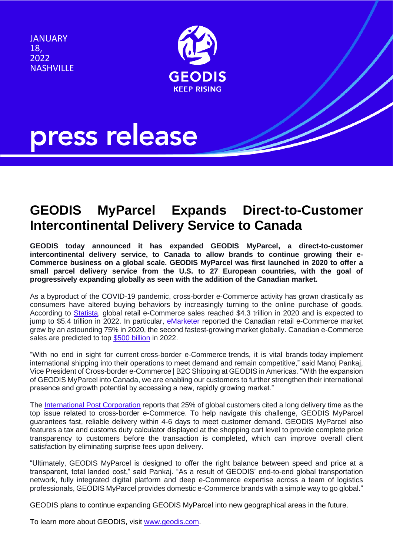JANUARY 18, 2022 **NASHVILLE** 



## press release

## **GEODIS MyParcel Expands Direct-to-Customer Intercontinental Delivery Service to Canada**

**GEODIS today announced it has expanded GEODIS MyParcel, a direct-to-customer intercontinental delivery service, to Canada to allow brands to continue growing their e-Commerce business on a global scale. GEODIS MyParcel was first launched in 2020 to offer a small parcel delivery service from the U.S. to 27 European countries, with the goal of progressively expanding globally as seen with the addition of the Canadian market.**

As a byproduct of the COVID-19 pandemic, cross-border e-Commerce activity has grown drastically as consumers have altered buying behaviors by increasingly turning to the online purchase of goods. According to [Statista,](https://www.statista.com/statistics/379046/worldwide-retail-e-commerce-sales/) global retail e-Commerce sales reached \$4.3 trillion in 2020 and is expected to jump to \$5.4 trillion in 2022. In particular, [eMarketer](https://www.emarketer.com/content/canada-ecommerce-forecast-2021) reported the Canadian retail e-Commerce market grew by an astounding 75% in 2020, the second fastest-growing market globally. Canadian e-Commerce sales are predicted to top [\\$500 billion](https://www.emarketer.com/content/since-2019-ecommerce-sales-canada-have-nearly-doubled-their-share-of-overall-retail-sales) in 2022.

"With no end in sight for current cross-border e-Commerce trends, it is vital brands today implement international shipping into their operations to meet demand and remain competitive," said Manoj Pankaj, Vice President of Cross-border e-Commerce | B2C Shipping at GEODIS in Americas. "With the expansion of GEODIS MyParcel into Canada, we are enabling our customers to further strengthen their international presence and growth potential by accessing a new, rapidly growing market."

The [International Post Corporation](http://www.ipc.be/-/media/documents/public/markets/2019/ipc-cross-border-e-commerce-shopper-survey2018.pdf) reports that 25% of global customers cited a long delivery time as the top issue related to cross-border e-Commerce. To help navigate this challenge, GEODIS MyParcel guarantees fast, reliable delivery within 4-6 days to meet customer demand. GEODIS MyParcel also features a tax and customs duty calculator displayed at the shopping cart level to provide complete price transparency to customers before the transaction is completed, which can improve overall client satisfaction by eliminating surprise fees upon delivery.

"Ultimately, GEODIS MyParcel is designed to offer the right balance between speed and price at a transparent, total landed cost," said Pankaj. "As a result of GEODIS' end-to-end global transportation network, fully integrated digital platform and deep e-Commerce expertise across a team of logistics professionals, GEODIS MyParcel provides domestic e-Commerce brands with a simple way to go global."

GEODIS plans to continue expanding GEODIS MyParcel into new geographical areas in the future.

To learn more about GEODIS, visit [www.geodis.com.](http://www.geodis.com/)